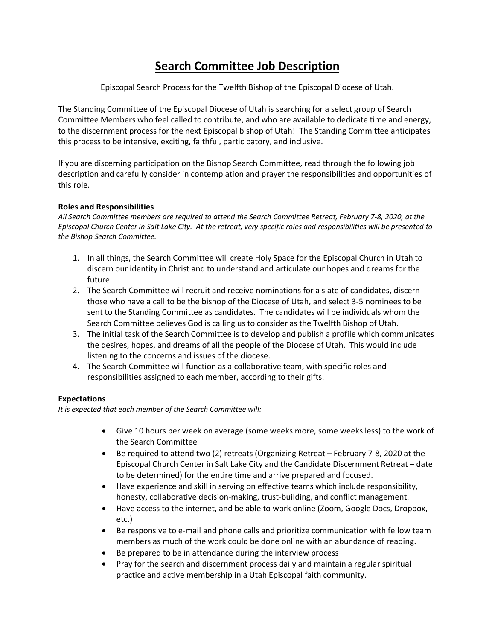## **Search Committee Job Description**

Episcopal Search Process for the Twelfth Bishop of the Episcopal Diocese of Utah.

The Standing Committee of the Episcopal Diocese of Utah is searching for a select group of Search Committee Members who feel called to contribute, and who are available to dedicate time and energy, to the discernment process for the next Episcopal bishop of Utah! The Standing Committee anticipates this process to be intensive, exciting, faithful, participatory, and inclusive.

If you are discerning participation on the Bishop Search Committee, read through the following job description and carefully consider in contemplation and prayer the responsibilities and opportunities of this role.

## **Roles and Responsibilities**

*All Search Committee members are required to attend the Search Committee Retreat, February 7-8, 2020, at the Episcopal Church Center in Salt Lake City. At the retreat, very specific roles and responsibilities will be presented to the Bishop Search Committee.*

- 1. In all things, the Search Committee will create Holy Space for the Episcopal Church in Utah to discern our identity in Christ and to understand and articulate our hopes and dreams for the future.
- 2. The Search Committee will recruit and receive nominations for a slate of candidates, discern those who have a call to be the bishop of the Diocese of Utah, and select 3-5 nominees to be sent to the Standing Committee as candidates. The candidates will be individuals whom the Search Committee believes God is calling us to consider as the Twelfth Bishop of Utah.
- 3. The initial task of the Search Committee is to develop and publish a profile which communicates the desires, hopes, and dreams of all the people of the Diocese of Utah. This would include listening to the concerns and issues of the diocese.
- 4. The Search Committee will function as a collaborative team, with specific roles and responsibilities assigned to each member, according to their gifts.

## **Expectations**

*It is expected that each member of the Search Committee will:* 

- Give 10 hours per week on average (some weeks more, some weeks less) to the work of the Search Committee
- Be required to attend two (2) retreats (Organizing Retreat February 7-8, 2020 at the Episcopal Church Center in Salt Lake City and the Candidate Discernment Retreat – date to be determined) for the entire time and arrive prepared and focused.
- Have experience and skill in serving on effective teams which include responsibility, honesty, collaborative decision-making, trust-building, and conflict management.
- Have access to the internet, and be able to work online (Zoom, Google Docs, Dropbox, etc.)
- Be responsive to e-mail and phone calls and prioritize communication with fellow team members as much of the work could be done online with an abundance of reading.
- Be prepared to be in attendance during the interview process
- Pray for the search and discernment process daily and maintain a regular spiritual practice and active membership in a Utah Episcopal faith community.